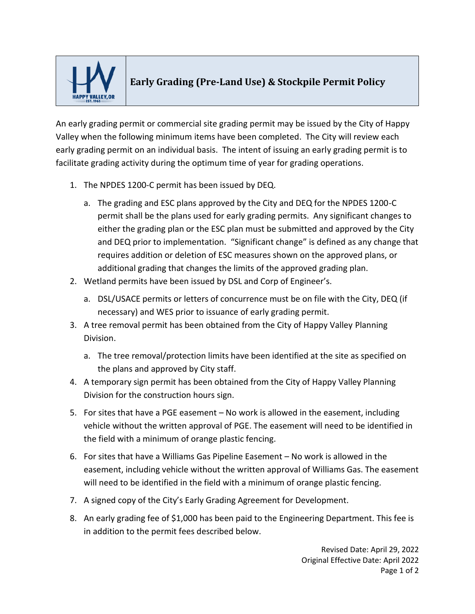

## **Early Grading (Pre-Land Use) & Stockpile Permit Policy**

An early grading permit or commercial site grading permit may be issued by the City of Happy Valley when the following minimum items have been completed. The City will review each early grading permit on an individual basis. The intent of issuing an early grading permit is to facilitate grading activity during the optimum time of year for grading operations.

- 1. The NPDES 1200-C permit has been issued by DEQ.
	- a. The grading and ESC plans approved by the City and DEQ for the NPDES 1200-C permit shall be the plans used for early grading permits. Any significant changes to either the grading plan or the ESC plan must be submitted and approved by the City and DEQ prior to implementation. "Significant change" is defined as any change that requires addition or deletion of ESC measures shown on the approved plans, or additional grading that changes the limits of the approved grading plan.
- 2. Wetland permits have been issued by DSL and Corp of Engineer's.
	- a. DSL/USACE permits or letters of concurrence must be on file with the City, DEQ (if necessary) and WES prior to issuance of early grading permit.
- 3. A tree removal permit has been obtained from the City of Happy Valley Planning Division.
	- a. The tree removal/protection limits have been identified at the site as specified on the plans and approved by City staff.
- 4. A temporary sign permit has been obtained from the City of Happy Valley Planning Division for the construction hours sign.
- 5. For sites that have a PGE easement No work is allowed in the easement, including vehicle without the written approval of PGE. The easement will need to be identified in the field with a minimum of orange plastic fencing.
- 6. For sites that have a Williams Gas Pipeline Easement No work is allowed in the easement, including vehicle without the written approval of Williams Gas. The easement will need to be identified in the field with a minimum of orange plastic fencing.
- 7. A signed copy of the City's Early Grading Agreement for Development.
- 8. An early grading fee of \$1,000 has been paid to the Engineering Department. This fee is in addition to the permit fees described below.